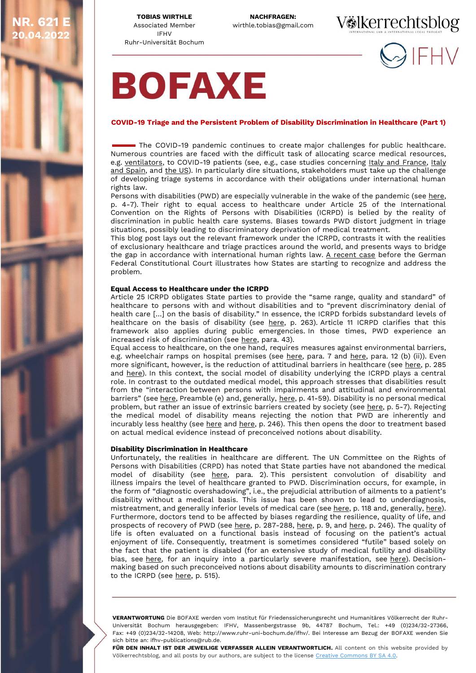**20.04.2022** 

**TOBIAS WIRTHLE** Associated Member IFHV Ruhr-Universität Bochum **NACHFRAGEN:**<br>wirthle.tobias@gmail.com





# **BOFAXE**

### **COVID-19 Triage and the Persistent Problem of Disability Discrimination in Healthcare (Part 1)**

The COVID-19 pandemic continues to create major challenges for public healthcare. Numerous countries are faced with the difficult task of allocating scarce medical resources, e.g. [ventilators,](https://www.nejm.org/doi/pdf/10.1056/NEJMp2005689?articleTools=true) to COVID-19 patients (see, e.g., case studies concerning [Italy and France,](https://link.springer.com/content/pdf/10.1007/s11673-020-10059-y.pdf) Italy [and Spain,](https://jme.bmj.com/content/medethics/47/5/300.full.pdf) and [the US\)](https://repository.law.umich.edu/cgi/viewcontent.cgi?article=3141&context=articles). In particularly dire situations, stakeholders must take up the challenge of developing triage systems in accordance with their obligations under international human rights law.

Persons with disabilities (PWD) are especially vulnerable in the wake of the pandemic (see [here,](https://unsdg.un.org/sites/default/files/2020-05/Policy-Brief-A-Disability-Inclusive-Response-to-COVID-19.pdf) p. 4-7). Their right to equal access to healthcare under Article 25 of the International Convention on the Rights of Persons with Disabilities (ICRPD) is belied by the reality of discrimination in public health care systems. Biases towards PWD distort judgment in triage situations, possibly leading to discriminatory deprivation of medical treatment.

This blog post lays out the relevant framework under the ICRPD, contrasts it with the realities of exclusionary healthcare and triage practices around the world, and presents ways to bridge the gap in accordance with international human rights law.  $A$  recent case before the German Federal Constitutional Court illustrates how States are starting to recognize and address the problem.

### **Equal Access to Healthcare under the ICRPD**

Article 25 ICRPD obligates State parties to provide the "same range, quality and standard" of healthcare to persons with and without disabilities and to "prevent discriminatory denial of health care […] on the basis of disability." In essence, the ICRPD forbids substandard levels of healthcare on the basis of disability (see [here,](https://www.adry.up.ac.za/images/adry/volume8_2020/regional%20developments%202_2020.pdf) p. 263). Article 11 ICRPD clarifies that this framework also applies during public emergencies. In those times, PWD experience an increased risk of discrimination (see [here,](https://digitallibrary.un.org/record/1626976) para. 43).

Equal access to healthcare, on the one hand, requires measures against environmental barriers, e.g. wheelchair ramps on hospital premises (see [here,](https://digitallibrary.un.org/record/425041) para. 7 and here, para. 12 (b) (ii)). Even more significant, however, is the reduction of attitudinal barriers in healthcare (see [here,](https://cdn1.sph.harvard.edu/wp-content/uploads/sites/2469/2020/12/Haque.pdf) p. 285) and [here\)](https://doi.org/10.1016/S0140-6736(09)62043-2). In this context, the social model of disability underlying the ICRPD plays a central role. In contrast to the outdated medical model, this approach stresses that disabilities result from the "interaction between persons with impairments and attitudinal and environmental barriers" (see [here,](https://voelkerrechtsblog.org/covid-19-triage-and-the-persistent-problem-of-disability-discrimination-in-healthcare/#preamble) Preamble (e) and, generally, [here,](https://doi.org/10.1007/978-3-319-43790-3_2) p. 41-59). Disability is no personal medical problem, but rather an issue of extrinsic barriers created by society (see [here,](https://doi.org/10.1093/hrlr/ngm044) p. 5-7). Rejecting the medical model of disability means rejecting the notion that PWD are inherently and incurably less healthy (see [here](http://www.ijdcr.ca/VOL12_02/articles/lord.shtml) and [here,](https://oxford.universitypressscholarship.com/view/10.1093/acprof:osobl/9780199744206.001.0001/acprof-9780199744206) p. 246). This then opens the door to treatment based on actual medical evidence instead of preconceived notions about disability.

### **Disability Discrimination in Healthcare**

Unfortunately, the realities in healthcare are different. The UN Committee on the Rights of Persons with Disabilities (CRPD) has noted that State parties have not abandoned the medical model of disability (see [here,](https://digitallibrary.un.org/record/1626976) para. 2). This persistent convolution of disability and illness impairs the level of healthcare granted to PWD. Discrimination occurs, for example, in the form of "diagnostic overshadowing", i.e., the prejudicial attribution of ailments to a patient's disability without a medical basis. This issue has been shown to lead to underdiagnosis, mistreatment, and generally inferior levels of medical care (see [here,](https://www.tandfonline.com/doi/pdf/10.1080/09540260701278937?needAccess=true) p. 118 and, generally, [here\)](https://doi.org/10.1111/j.1600-0447.2008.01211.x). Furthermore, doctors tend to be affected by biases regarding the resilience, quality of life, and prospects of recovery of PWD (see [here,](https://repository.law.umich.edu/cgi/viewcontent.cgi?article=3141&context=articles) p. 287-288, [here,](https://oxford.universitypressscholarship.com/view/10.1093/acprof:osobl/9780199744206.001.0001/acprof-9780199744206) p. 9, and here, p. 246). The quality of life is often evaluated on a functional basis instead of focusing on the patient's actual enjoyment of life. Consequently, treatment is sometimes considered "futile" based solely on the fact that the patient is disabled (for an extensive study of medical futility and disability bias, see [here,](https://ncd.gov/sites/default/files/NCD_Medical_Futility_Report_508.pdf) for an inquiry into a particularly severe manifestation, see [here\)](https://deliverypdf.ssrn.com/delivery.php?ID=582114003071117097110001086016112081029032054004040066067028091028071111106088013096122097062099041113051099030085116073126098126050004093022013018105081073088022077022079006114069108069024006019099109081110124096121114014014005005106070120074088124&EXT=pdf&INDEX=TRUE). Decisionmaking based on such preconceived notions about disability amounts to discrimination contrary to the ICRPD (see [here,](https://link.springer.com/content/pdf/10.1007/s41649-020-00147-x.pdf) p. 515).

**VERANTWORTUNG** Die BOFAXE werden vom Institut für Friedenssicherungsrecht und Humanitäres Völkerrecht der Ruhr-Universität Bochum herausgegeben: IFHV, Massenbergstrasse 9b, 44787 Bochum, Tel.: +49 (0)234/32-27366, Fax: +49 (0)234/32-14208, Web: http://www.ruhr-uni-bochum.de/ifhv/. Bei Interesse am Bezug der BOFAXE wenden Sie sich bitte an: ifhv-publications@rub.de.

FÜR DEN INHALT IST DER JEWEILIGE VERFASSER ALLEIN VERANTWORTLICH. All content on this website provided by Völkerrechtsblog, and all posts by our authors, are subject to the license [Creative Commons BY SA 4.0.](https://creativecommons.org/licenses/by-sa/4.0/)